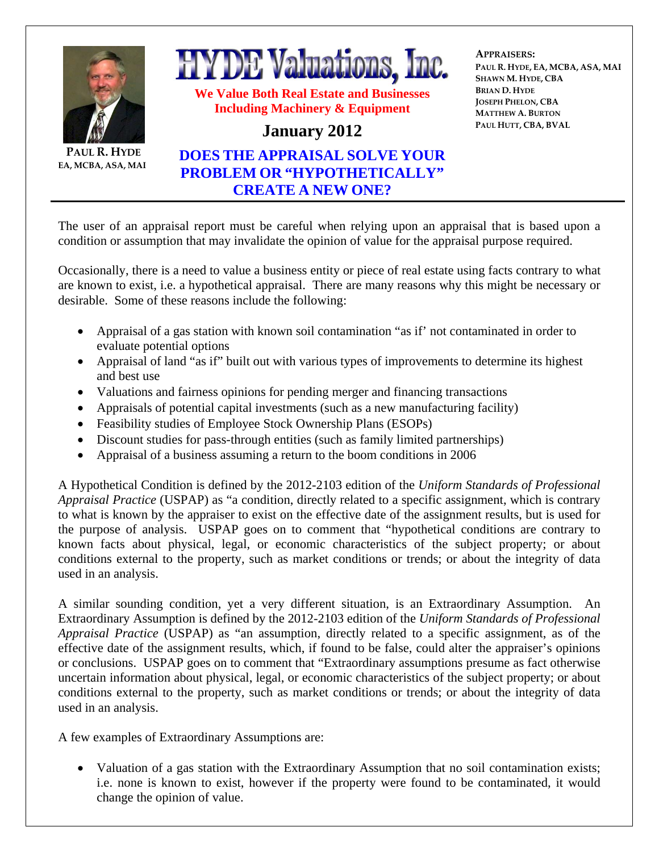

The user of an appraisal report must be careful when relying upon an appraisal that is based upon a condition or assumption that may invalidate the opinion of value for the appraisal purpose required.

Occasionally, there is a need to value a business entity or piece of real estate using facts contrary to what are known to exist, i.e. a hypothetical appraisal. There are many reasons why this might be necessary or desirable. Some of these reasons include the following:

- Appraisal of a gas station with known soil contamination "as if' not contaminated in order to evaluate potential options
- Appraisal of land "as if" built out with various types of improvements to determine its highest and best use
- Valuations and fairness opinions for pending merger and financing transactions
- Appraisals of potential capital investments (such as a new manufacturing facility)
- Feasibility studies of Employee Stock Ownership Plans (ESOPs)
- Discount studies for pass-through entities (such as family limited partnerships)
- Appraisal of a business assuming a return to the boom conditions in 2006

A Hypothetical Condition is defined by the 2012-2103 edition of the *Uniform Standards of Professional Appraisal Practice* (USPAP) as "a condition, directly related to a specific assignment, which is contrary to what is known by the appraiser to exist on the effective date of the assignment results, but is used for the purpose of analysis. USPAP goes on to comment that "hypothetical conditions are contrary to known facts about physical, legal, or economic characteristics of the subject property; or about conditions external to the property, such as market conditions or trends; or about the integrity of data used in an analysis.

A similar sounding condition, yet a very different situation, is an Extraordinary Assumption. An Extraordinary Assumption is defined by the 2012-2103 edition of the *Uniform Standards of Professional Appraisal Practice* (USPAP) as "an assumption, directly related to a specific assignment, as of the effective date of the assignment results, which, if found to be false, could alter the appraiser's opinions or conclusions. USPAP goes on to comment that "Extraordinary assumptions presume as fact otherwise uncertain information about physical, legal, or economic characteristics of the subject property; or about conditions external to the property, such as market conditions or trends; or about the integrity of data used in an analysis.

A few examples of Extraordinary Assumptions are:

• Valuation of a gas station with the Extraordinary Assumption that no soil contamination exists; i.e. none is known to exist, however if the property were found to be contaminated, it would change the opinion of value.